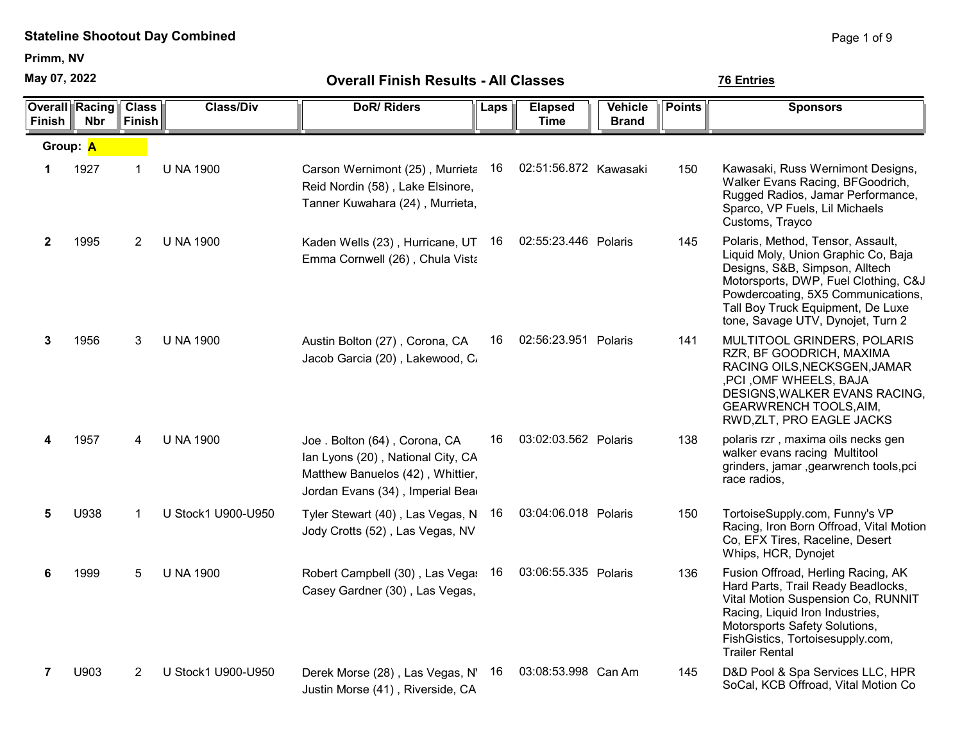Primm, NV

May 07, 2022

| 07, 2022 May   |                                     |                               |                    | <b>Overall Finish Results - All Classes</b>                                                                                               | <b>76 Entries</b> |                               |                                |               |                                                                                                                                                                                                                                                                    |
|----------------|-------------------------------------|-------------------------------|--------------------|-------------------------------------------------------------------------------------------------------------------------------------------|-------------------|-------------------------------|--------------------------------|---------------|--------------------------------------------------------------------------------------------------------------------------------------------------------------------------------------------------------------------------------------------------------------------|
| <b>Finish</b>  | <b>Overall Racing</b><br><b>Nbr</b> | <b>Class</b><br><b>Finish</b> | <b>Class/Div</b>   | <b>DoR/Riders</b>                                                                                                                         | Laps              | <b>Elapsed</b><br><b>Time</b> | <b>Vehicle</b><br><b>Brand</b> | <b>Points</b> | <b>Sponsors</b>                                                                                                                                                                                                                                                    |
|                | Group: A                            |                               |                    |                                                                                                                                           |                   |                               |                                |               |                                                                                                                                                                                                                                                                    |
| 1              | 1927                                | 1                             | <b>U NA 1900</b>   | Carson Wernimont (25), Murrieta 16<br>Reid Nordin (58), Lake Elsinore,<br>Tanner Kuwahara (24), Murrieta,                                 |                   | 02:51:56.872 Kawasaki         |                                | 150           | Kawasaki, Russ Wernimont Designs,<br>Walker Evans Racing, BFGoodrich,<br>Rugged Radios, Jamar Performance,<br>Sparco, VP Fuels, Lil Michaels<br>Customs, Trayco                                                                                                    |
| $\mathbf{2}$   | 1995                                | $\overline{2}$                | <b>U NA 1900</b>   | Kaden Wells (23), Hurricane, UT 16 02:55:23.446 Polaris<br>Emma Cornwell (26), Chula Vista                                                |                   |                               |                                | 145           | Polaris, Method, Tensor, Assault,<br>Liquid Moly, Union Graphic Co, Baja<br>Designs, S&B, Simpson, Alltech<br>Motorsports, DWP, Fuel Clothing, C&J<br>Powdercoating, 5X5 Communications,<br>Tall Boy Truck Equipment, De Luxe<br>tone, Savage UTV, Dynojet, Turn 2 |
| 3              | 1956                                | 3                             | <b>U NA 1900</b>   | Austin Bolton (27), Corona, CA<br>Jacob Garcia (20), Lakewood, C.                                                                         | 16                | 02:56:23.951 Polaris          |                                | 141           | MULTITOOL GRINDERS, POLARIS<br>RZR, BF GOODRICH, MAXIMA<br>RACING OILS, NECKSGEN, JAMAR<br>, PCI, OMF WHEELS, BAJA<br>DESIGNS, WALKER EVANS RACING,<br><b>GEARWRENCH TOOLS, AIM,</b><br>RWD, ZLT, PRO EAGLE JACKS                                                  |
| 4              | 1957                                | 4                             | <b>U NA 1900</b>   | Joe. Bolton (64), Corona, CA<br>Ian Lyons (20), National City, CA<br>Matthew Banuelos (42), Whittier,<br>Jordan Evans (34), Imperial Bear | 16                | 03:02:03.562 Polaris          |                                | 138           | polaris rzr, maxima oils necks gen<br>walker evans racing Multitool<br>grinders, jamar , gearwrench tools, pci<br>race radios,                                                                                                                                     |
| 5              | U938                                | 1                             | U Stock1 U900-U950 | Tyler Stewart (40), Las Vegas, N 16<br>Jody Crotts (52), Las Vegas, NV                                                                    |                   | 03:04:06.018 Polaris          |                                | 150           | TortoiseSupply.com, Funny's VP<br>Racing, Iron Born Offroad, Vital Motion<br>Co, EFX Tires, Raceline, Desert<br>Whips, HCR, Dynojet                                                                                                                                |
| 6              | 1999                                | 5                             | <b>U NA 1900</b>   | Robert Campbell (30), Las Vega: 16<br>Casey Gardner (30), Las Vegas,                                                                      |                   | 03:06:55.335 Polaris          |                                | 136           | Fusion Offroad, Herling Racing, AK<br>Hard Parts, Trail Ready Beadlocks,<br>Vital Motion Suspension Co, RUNNIT<br>Racing, Liquid Iron Industries,<br>Motorsports Safety Solutions,<br>FishGistics, Tortoisesupply.com,<br><b>Trailer Rental</b>                    |
| $\overline{7}$ | U903                                | 2                             | U Stock1 U900-U950 | Derek Morse (28), Las Vegas, N' 16<br>Justin Morse (41), Riverside, CA                                                                    |                   | 03:08:53.998 Can Am           |                                | 145           | D&D Pool & Spa Services LLC, HPR<br>SoCal, KCB Offroad, Vital Motion Co                                                                                                                                                                                            |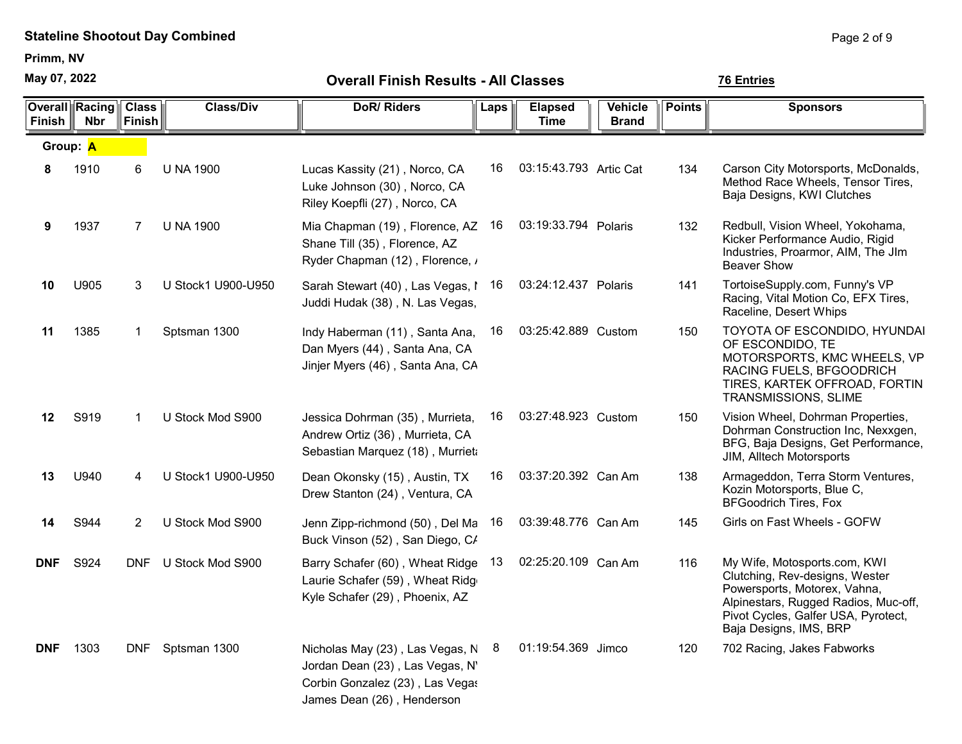Primm, NV

May 07, 2022

| <b>Finish</b> | <b>Overall Racing</b><br><b>Nbr</b> | <b>Class</b><br><b>Finish</b> | <b>Class/Div</b>     | <b>DoR/Riders</b>                                                                                                                   | Laps | <b>Elapsed</b><br>Time | <b>Vehicle</b><br><b>Brand</b> | <b>Points</b> | <b>Sponsors</b>                                                                                                                                                                                         |
|---------------|-------------------------------------|-------------------------------|----------------------|-------------------------------------------------------------------------------------------------------------------------------------|------|------------------------|--------------------------------|---------------|---------------------------------------------------------------------------------------------------------------------------------------------------------------------------------------------------------|
| Group: A      |                                     |                               |                      |                                                                                                                                     |      |                        |                                |               |                                                                                                                                                                                                         |
| 8             | 1910                                | 6                             | <b>U NA 1900</b>     | Lucas Kassity (21), Norco, CA<br>Luke Johnson (30), Norco, CA<br>Riley Koepfli (27), Norco, CA                                      | 16   | 03:15:43.793 Artic Cat |                                | 134           | Carson City Motorsports, McDonalds,<br>Method Race Wheels, Tensor Tires,<br>Baja Designs, KWI Clutches                                                                                                  |
| 9             | 1937                                | 7                             | <b>U NA 1900</b>     | Mia Chapman (19), Florence, AZ<br>Shane Till (35), Florence, AZ<br>Ryder Chapman (12), Florence, /                                  | 16   | 03:19:33.794 Polaris   |                                | 132           | Redbull, Vision Wheel, Yokohama,<br>Kicker Performance Audio, Rigid<br>Industries, Proarmor, AIM, The JIm<br><b>Beaver Show</b>                                                                         |
| 10            | U905                                | 3                             | U Stock1 U900-U950   | Sarah Stewart (40), Las Vegas, I<br>Juddi Hudak (38), N. Las Vegas,                                                                 | 16   | 03:24:12.437 Polaris   |                                | 141           | TortoiseSupply.com, Funny's VP<br>Racing, Vital Motion Co, EFX Tires,<br>Raceline, Desert Whips                                                                                                         |
| 11            | 1385                                | 1                             | Sptsman 1300         | Indy Haberman (11), Santa Ana,<br>Dan Myers (44), Santa Ana, CA<br>Jinjer Myers (46), Santa Ana, CA                                 | 16   | 03:25:42.889 Custom    |                                | 150           | TOYOTA OF ESCONDIDO, HYUNDAI<br>OF ESCONDIDO, TE<br>MOTORSPORTS, KMC WHEELS, VP<br>RACING FUELS, BFGOODRICH<br>TIRES, KARTEK OFFROAD, FORTIN<br>TRANSMISSIONS, SLIME                                    |
| 12            | S919                                | 1                             | U Stock Mod S900     | Jessica Dohrman (35), Murrieta,<br>Andrew Ortiz (36), Murrieta, CA<br>Sebastian Marquez (18), Murrieta                              | 16   | 03:27:48.923 Custom    |                                | 150           | Vision Wheel, Dohrman Properties,<br>Dohrman Construction Inc, Nexxgen,<br>BFG, Baja Designs, Get Performance,<br>JIM, Alltech Motorsports                                                              |
| 13            | U940                                | 4                             | U Stock1 U900-U950   | Dean Okonsky (15), Austin, TX<br>Drew Stanton (24), Ventura, CA                                                                     | 16   | 03:37:20.392 Can Am    |                                | 138           | Armageddon, Terra Storm Ventures,<br>Kozin Motorsports, Blue C,<br><b>BFGoodrich Tires, Fox</b>                                                                                                         |
| 14            | S944                                | 2                             | U Stock Mod S900     | Jenn Zipp-richmond (50), Del Ma<br>Buck Vinson (52), San Diego, C/                                                                  | 16   | 03:39:48.776 Can Am    |                                | 145           | Girls on Fast Wheels - GOFW                                                                                                                                                                             |
| <b>DNF</b>    | S924                                |                               | DNF U Stock Mod S900 | Barry Schafer (60), Wheat Ridge<br>Laurie Schafer (59), Wheat Ridg<br>Kyle Schafer (29), Phoenix, AZ                                | 13   | 02:25:20.109 Can Am    |                                | 116           | My Wife, Motosports.com, KWI<br>Clutching, Rev-designs, Wester<br>Powersports, Motorex, Vahna,<br>Alpinestars, Rugged Radios, Muc-off,<br>Pivot Cycles, Galfer USA, Pyrotect,<br>Baja Designs, IMS, BRP |
| <b>DNF</b>    | 1303                                | DNF                           | Sptsman 1300         | Nicholas May (23), Las Vegas, N<br>Jordan Dean (23), Las Vegas, N'<br>Corbin Gonzalez (23), Las Vegas<br>James Dean (26), Henderson | 8    | 01:19:54.369 Jimco     |                                | 120           | 702 Racing, Jakes Fabworks                                                                                                                                                                              |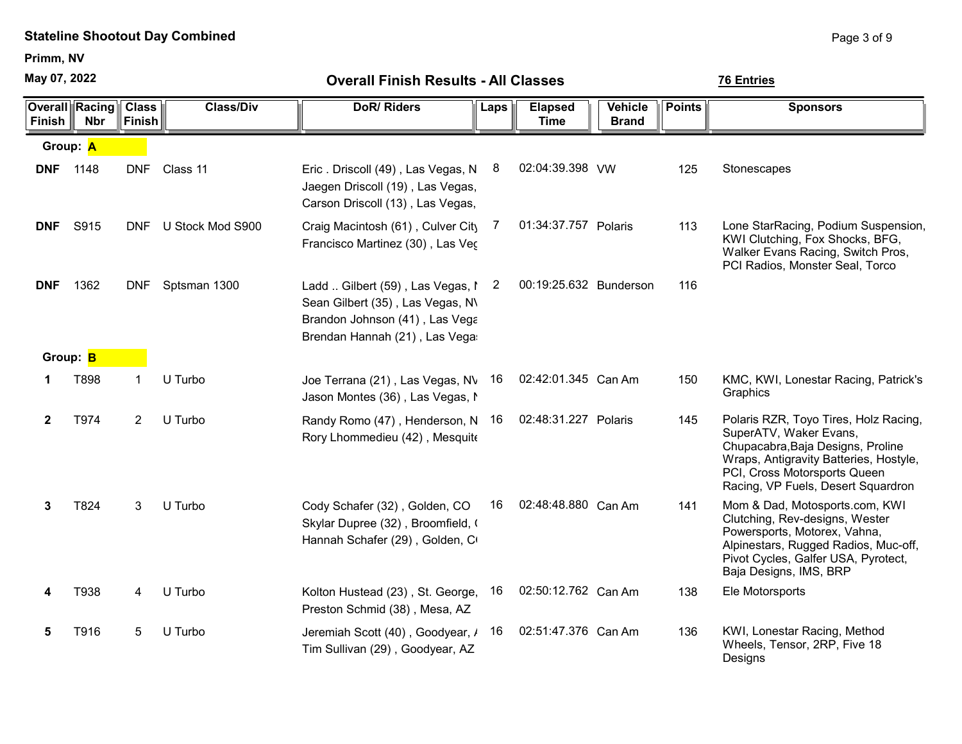Primm, NV

May 07, 2022

| May 07, 2022    |                                     | <b>Overall Finish Results - All Classes</b> |                      |                                                                                                                                           |      |                               |                                |               | <b>76 Entries</b>                                                                                                                                                                                                    |
|-----------------|-------------------------------------|---------------------------------------------|----------------------|-------------------------------------------------------------------------------------------------------------------------------------------|------|-------------------------------|--------------------------------|---------------|----------------------------------------------------------------------------------------------------------------------------------------------------------------------------------------------------------------------|
| Finish          | <b>Overall Racing</b><br><b>Nbr</b> | <b>Class</b><br><b>Finish</b>               | <b>Class/Div</b>     | <b>DoR/Riders</b>                                                                                                                         | Laps | <b>Elapsed</b><br><b>Time</b> | <b>Vehicle</b><br><b>Brand</b> | <b>Points</b> | <b>Sponsors</b>                                                                                                                                                                                                      |
|                 | Group: A                            |                                             |                      |                                                                                                                                           |      |                               |                                |               |                                                                                                                                                                                                                      |
| <b>DNF</b> 1148 |                                     | <b>DNF</b>                                  | Class 11             | Eric. Driscoll (49), Las Vegas, N<br>Jaegen Driscoll (19), Las Vegas,<br>Carson Driscoll (13), Las Vegas,                                 | 8    | 02:04:39.398 VW               |                                | 125           | Stonescapes                                                                                                                                                                                                          |
| <b>DNF</b>      | S915                                |                                             | DNF U Stock Mod S900 | Craig Macintosh (61), Culver City<br>Francisco Martinez (30), Las Vec                                                                     |      | 01:34:37.757 Polaris          |                                | 113           | Lone StarRacing, Podium Suspension,<br>KWI Clutching, Fox Shocks, BFG,<br>Walker Evans Racing, Switch Pros,<br>PCI Radios, Monster Seal, Torco                                                                       |
| <b>DNF</b>      | 1362                                |                                             | DNF Sptsman 1300     | Ladd  Gilbert (59), Las Vegas, I 2<br>Sean Gilbert (35), Las Vegas, N\<br>Brandon Johnson (41), Las Vega<br>Brendan Hannah (21), Las Vega |      | 00:19:25.632 Bunderson        |                                | 116           |                                                                                                                                                                                                                      |
| Group: B        |                                     |                                             |                      |                                                                                                                                           |      |                               |                                |               |                                                                                                                                                                                                                      |
|                 | T898                                | $\mathbf 1$                                 | U Turbo              | Joe Terrana (21), Las Vegas, NV 16<br>Jason Montes (36), Las Vegas, M                                                                     |      | 02:42:01.345 Can Am           |                                | 150           | KMC, KWI, Lonestar Racing, Patrick's<br>Graphics                                                                                                                                                                     |
| $\mathbf{2}$    | T974                                | $\mathbf{2}^{\prime}$                       | U Turbo              | Randy Romo (47), Henderson, N 16<br>Rory Lhommedieu (42), Mesquite                                                                        |      | 02:48:31.227 Polaris          |                                | 145           | Polaris RZR, Toyo Tires, Holz Racing,<br>SuperATV, Waker Evans,<br>Chupacabra, Baja Designs, Proline<br>Wraps, Antigravity Batteries, Hostyle,<br>PCI, Cross Motorsports Queen<br>Racing, VP Fuels, Desert Squardron |
| 3               | T824                                | 3                                           | U Turbo              | Cody Schafer (32), Golden, CO<br>Skylar Dupree (32), Broomfield, (<br>Hannah Schafer (29), Golden, C                                      | 16   | 02:48:48.880 Can Am           |                                | 141           | Mom & Dad, Motosports.com, KWI<br>Clutching, Rev-designs, Wester<br>Powersports, Motorex, Vahna,<br>Alpinestars, Rugged Radios, Muc-off,<br>Pivot Cycles, Galfer USA, Pyrotect,<br>Baja Designs, IMS, BRP            |
| 4               | T938                                | 4                                           | U Turbo              | Kolton Hustead (23), St. George, 16<br>Preston Schmid (38), Mesa, AZ                                                                      |      | 02:50:12.762 Can Am           |                                | 138           | Ele Motorsports                                                                                                                                                                                                      |
| 5               | T916                                | 5                                           | U Turbo              | Jeremiah Scott (40), Goodyear, / 16<br>Tim Sullivan (29), Goodyear, AZ                                                                    |      | 02:51:47.376 Can Am           |                                | 136           | KWI, Lonestar Racing, Method<br>Wheels, Tensor, 2RP, Five 18<br>Designs                                                                                                                                              |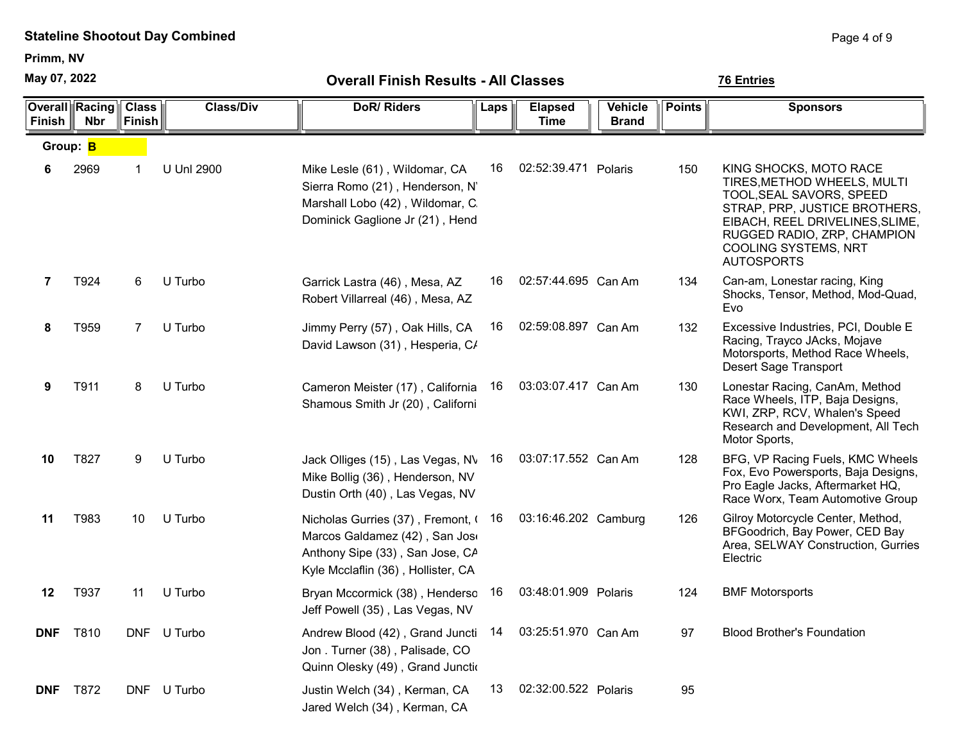Primm, NV

May 07, 2022

Overall Racing Finish Nbr **Class** Finish Vehicle || Points || Sponsors Brand Class/Div **DoR/ Riders** Laps Elapsed Time Group: **B** 6 2969 1 U Unl 2900 Mike Lesle (61), Wildomar, CA 16 02:52:39.471 Polaris 150 KING SHOCKS, MOTO RACE TIRES,METHOD WHEELS, MULTI TOOL,SEAL SAVORS, SPEED STRAP, PRP, JUSTICE BROTHERS, EIBACH, REEL DRIVELINES,SLIME, RUGGED RADIO, ZRP, CHAMPION COOLING SYSTEMS, NRT AUTOSPORTS Sierra Romo (21), Henderson, N' Marshall Lobo (42), Wildomar, C. Dominick Gaglione Jr (21), Hend 16 02:52:39.471 7 T924 6 U Turbo Garrick Lastra (46) , Mesa, AZ 16 02:57:44.695 Can Am 134 Can-am, Lonestar racing, King Shocks, Tensor, Method, Mod-Quad, Evo Robert Villarreal (46) , Mesa, AZ 16 02:57:44.695 8 T959 7 U Turbo 3 Jimmy Perry (57) . Oak Hills. CA 16 02:59:08.897 Can Am 32 Excessive Industries, PCI, Double E Racing, Trayco JAcks, Mojave Motorsports, Method Race Wheels, Desert Sage Transport Jimmy Perry (57), Oak Hills, CA David Lawson (31), Hesperia, C/ 02:59:08.897 Can Am 9 T911 8 U Turbo Cameron Meister (17), California 16 03:03:07.417 Can Am 130 Lonestar Racing, CanAm, Method Race Wheels, ITP, Baja Designs, KWI, ZRP, RCV, Whalen's Speed Research and Development, All Tech Motor Sports, Shamous Smith Jr (20), Californi 16 03:03:07.417 10 T827 9 U Turbo 3 Jack Olliges (15), Las Vegas, N\ 16 03:07:17.552 Can Am 128 BFG, VP Racing Fuels, KMC Wheels Fox, Evo Powersports, Baja Designs, Pro Eagle Jacks, Aftermarket HQ, Race Worx, Team Automotive Group Jack Olliges (15), Las Vegas, NV Mike Bollig (36) , Henderson, NV Dustin Orth (40) , Las Vegas, NV 03:07:17.552 Can Am 11 T983 10 U Turbo **Nicholas Gurries (37)**, Fremont, (16 03:16:46.202 Camburg 126 Gilroy Motorcycle Center, Method, BFGoodrich, Bay Power, CED Bay Area, SELWAY Construction, Gurries Electric Marcos Galdamez (42), San Joso Anthony Sipe (33) , San Jose, CA Kyle Mcclaflin (36) , Hollister, CA 03:16:46.202 Camburg 12 T937 11 U Turbo Bryan Mccormick (38) , Henderson, 16 03:48:01.909 Polaris 124 BMF Motorsports Jeff Powell (35) , Las Vegas, NV 03:48:01.909 Polaris DNF T810 DNF U Turbo **Andrew Blood (42)**, Grand Junctition, 03:25:51.970 Can Am 97 Blood Brother's Foundation Jon . Turner (38) , Palisade, CO Quinn Olesky (49), Grand Junction 03:25:51.970 Can Am **DNF** T872 DNF U Turbo Justin Welch (34), Kerman, CA 13 02:32:00.522 Polaris 95 Jared Welch (34) , Kerman, CA 02:32:00.522 Polaris

Overall Finish Results - All Classes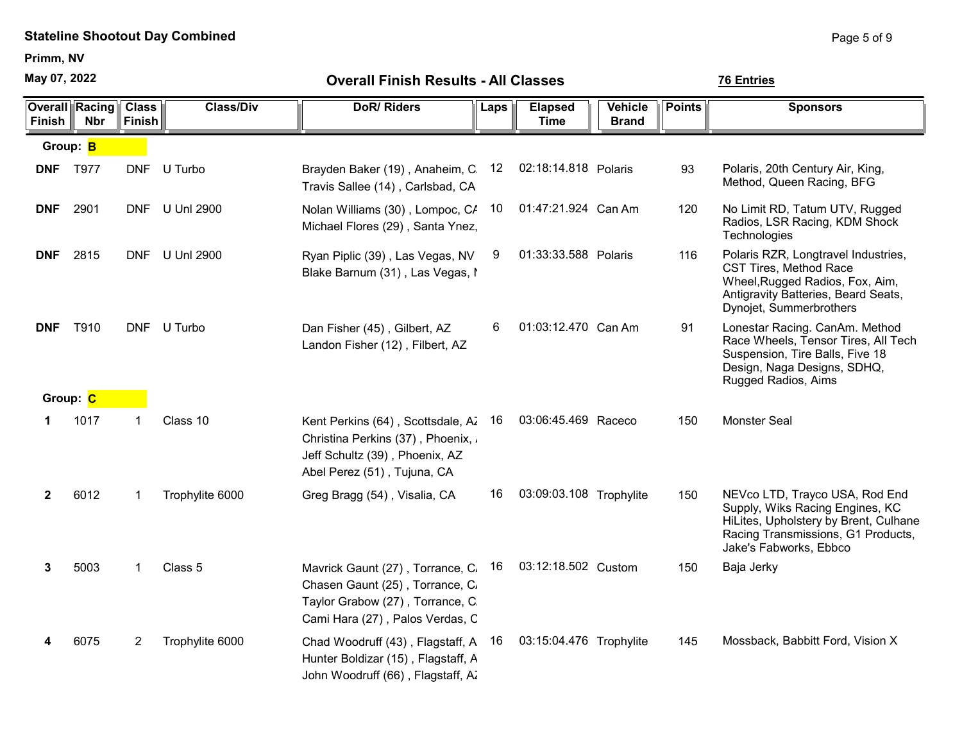Primm, NV

May 07, 2022

| <b>Overall Finish Results - All Classes</b> |  |
|---------------------------------------------|--|
|---------------------------------------------|--|

| <b>Finish</b>   | <b>Overall Racing Class</b><br><b>Nbr</b> | <b>Finish</b> | <b>Class/Div</b> | <b>DoR/Riders</b>                                                                                                                           | Laps | <b>Elapsed</b><br><b>Time</b> | Vehicle<br><b>Brand</b> | <b>Points</b> | <b>Sponsors</b>                                                                                                                                                            |
|-----------------|-------------------------------------------|---------------|------------------|---------------------------------------------------------------------------------------------------------------------------------------------|------|-------------------------------|-------------------------|---------------|----------------------------------------------------------------------------------------------------------------------------------------------------------------------------|
| Group: B        |                                           |               |                  |                                                                                                                                             |      |                               |                         |               |                                                                                                                                                                            |
| <b>DNF</b> T977 |                                           |               | DNF U Turbo      | Brayden Baker (19), Anaheim, C.<br>Travis Sallee (14), Carlsbad, CA                                                                         | 12   | 02:18:14.818 Polaris          |                         | 93            | Polaris, 20th Century Air, King,<br>Method, Queen Racing, BFG                                                                                                              |
| <b>DNF</b>      | 2901                                      |               | DNF U Unl 2900   | Nolan Williams (30), Lompoc, CA<br>Michael Flores (29), Santa Ynez,                                                                         | 10   | 01:47:21.924 Can Am           |                         | 120           | No Limit RD, Tatum UTV, Rugged<br>Radios, LSR Racing, KDM Shock<br>Technologies                                                                                            |
| <b>DNF</b>      | 2815                                      |               | DNF U Unl 2900   | Ryan Piplic (39), Las Vegas, NV<br>Blake Barnum (31), Las Vegas, I                                                                          | 9    | 01:33:33.588 Polaris          |                         | 116           | Polaris RZR, Longtravel Industries,<br><b>CST Tires, Method Race</b><br>Wheel, Rugged Radios, Fox, Aim,<br>Antigravity Batteries, Beard Seats,<br>Dynojet, Summerbrothers  |
| <b>DNF</b>      | T910                                      |               | DNF U Turbo      | Dan Fisher (45), Gilbert, AZ<br>Landon Fisher (12), Filbert, AZ                                                                             | 6    | 01:03:12.470 Can Am           |                         | 91            | Lonestar Racing. CanAm. Method<br>Race Wheels, Tensor Tires, All Tech<br>Suspension, Tire Balls, Five 18<br>Design, Naga Designs, SDHQ,<br>Rugged Radios, Aims             |
| Group: C        |                                           |               |                  |                                                                                                                                             |      |                               |                         |               |                                                                                                                                                                            |
| 1.              | 1017                                      |               | Class 10         | Kent Perkins (64), Scottsdale, Az 16<br>Christina Perkins (37), Phoenix, a<br>Jeff Schultz (39), Phoenix, AZ<br>Abel Perez (51), Tujuna, CA |      | 03:06:45.469 Raceco           |                         | 150           | <b>Monster Seal</b>                                                                                                                                                        |
| $\mathbf{2}$    | 6012                                      | 1             | Trophylite 6000  | Greg Bragg (54), Visalia, CA                                                                                                                | 16   | 03:09:03.108 Trophylite       |                         | 150           | NEVco LTD, Trayco USA, Rod End<br>Supply, Wiks Racing Engines, KC<br>HiLites, Upholstery by Brent, Culhane<br>Racing Transmissions, G1 Products,<br>Jake's Fabworks, Ebbco |
| 3               | 5003                                      | $\mathbf{1}$  | Class 5          | Mavrick Gaunt (27), Torrance, C.<br>Chasen Gaunt (25), Torrance, C.<br>Taylor Grabow (27), Torrance, C.<br>Cami Hara (27), Palos Verdas, C  | 16   | 03:12:18.502 Custom           |                         | 150           | Baja Jerky                                                                                                                                                                 |
|                 | 6075                                      | 2             | Trophylite 6000  | Chad Woodruff (43), Flagstaff, A 16<br>Hunter Boldizar (15), Flagstaff, A<br>John Woodruff (66), Flagstaff, A.                              |      | 03:15:04.476 Trophylite       |                         | 145           | Mossback, Babbitt Ford, Vision X                                                                                                                                           |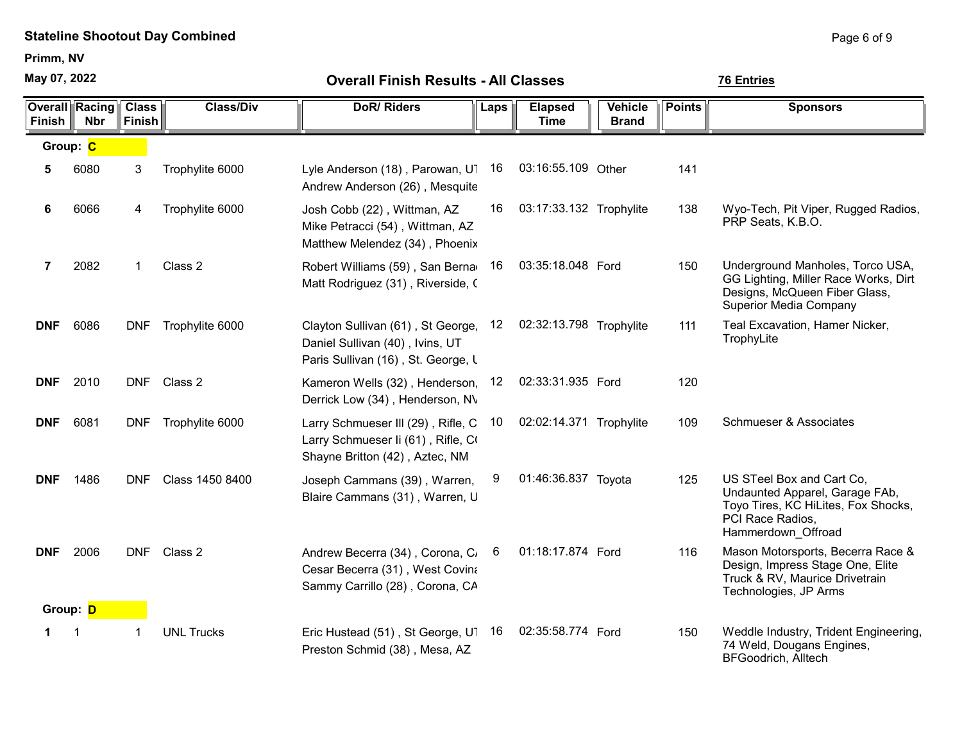Primm, NV

May 07, 2022

| <b>Finish</b>  | <b>Overall Racing</b><br><b>Nbr</b> | <b>Class</b><br>Finish | <b>Class/Div</b>  | <b>DoR/Riders</b>                                                                                                   | Laps | <b>Elapsed</b><br><b>Time</b> | <b>Vehicle</b><br><b>Brand</b> | <b>Points</b> | <b>Sponsors</b>                                                                                                                              |
|----------------|-------------------------------------|------------------------|-------------------|---------------------------------------------------------------------------------------------------------------------|------|-------------------------------|--------------------------------|---------------|----------------------------------------------------------------------------------------------------------------------------------------------|
| Group: C       |                                     |                        |                   |                                                                                                                     |      |                               |                                |               |                                                                                                                                              |
| 5              | 6080                                | 3                      | Trophylite 6000   | Lyle Anderson (18), Parowan, U1<br>Andrew Anderson (26), Mesquite                                                   | 16   | 03:16:55.109 Other            |                                | 141           |                                                                                                                                              |
| 6              | 6066                                | 4                      | Trophylite 6000   | Josh Cobb (22), Wittman, AZ<br>Mike Petracci (54), Wittman, AZ<br>Matthew Melendez (34), Phoenix                    | 16   | 03:17:33.132 Trophylite       |                                | 138           | Wyo-Tech, Pit Viper, Rugged Radios,<br>PRP Seats, K.B.O.                                                                                     |
| $\overline{7}$ | 2082                                | 1                      | Class 2           | Robert Williams (59), San Berna<br>Matt Rodriguez (31), Riverside, C                                                | 16   | 03:35:18.048 Ford             |                                | 150           | Underground Manholes, Torco USA,<br>GG Lighting, Miller Race Works, Dirt<br>Designs, McQueen Fiber Glass,<br><b>Superior Media Company</b>   |
| <b>DNF</b>     | 6086                                | <b>DNF</b>             | Trophylite 6000   | Clayton Sullivan (61), St George,<br>Daniel Sullivan (40), Ivins, UT<br>Paris Sullivan (16), St. George, L          | 12   | 02:32:13.798 Trophylite       |                                | 111           | Teal Excavation, Hamer Nicker,<br>TrophyLite                                                                                                 |
| <b>DNF</b>     | 2010                                | <b>DNF</b>             | Class 2           | Kameron Wells (32), Henderson,<br>Derrick Low (34), Henderson, NV                                                   | 12   | 02:33:31.935 Ford             |                                | 120           |                                                                                                                                              |
| <b>DNF</b>     | 6081                                | <b>DNF</b>             | Trophylite 6000   | Larry Schmueser III (29), Rifle, C<br>Larry Schmueser Ii (61), Rifle, CO<br>Shayne Britton (42), Aztec, NM          | 10   | 02:02:14.371 Trophylite       |                                | 109           | <b>Schmueser &amp; Associates</b>                                                                                                            |
| <b>DNF</b>     | 1486                                | <b>DNF</b>             | Class 1450 8400   | Joseph Cammans (39), Warren,<br>Blaire Cammans (31), Warren, U                                                      | 9    | 01:46:36.837 Toyota           |                                | 125           | US STeel Box and Cart Co.<br>Undaunted Apparel, Garage FAb,<br>Toyo Tires, KC HiLites, Fox Shocks,<br>PCI Race Radios,<br>Hammerdown Offroad |
| <b>DNF</b>     | 2006                                | <b>DNF</b>             | Class 2           | Andrew Becerra (34), Corona, C <sub>i</sub> 6<br>Cesar Becerra (31), West Covina<br>Sammy Carrillo (28), Corona, CA |      | 01:18:17.874 Ford             |                                | 116           | Mason Motorsports, Becerra Race &<br>Design, Impress Stage One, Elite<br>Truck & RV, Maurice Drivetrain<br>Technologies, JP Arms             |
| Group: D       |                                     |                        |                   |                                                                                                                     |      |                               |                                |               |                                                                                                                                              |
| 1.             |                                     | 1                      | <b>UNL Trucks</b> | Eric Hustead (51), St George, U1<br>Preston Schmid (38), Mesa, AZ                                                   | 16   | 02:35:58.774 Ford             |                                | 150           | Weddle Industry, Trident Engineering,<br>74 Weld, Dougans Engines,<br><b>BFGoodrich, Alltech</b>                                             |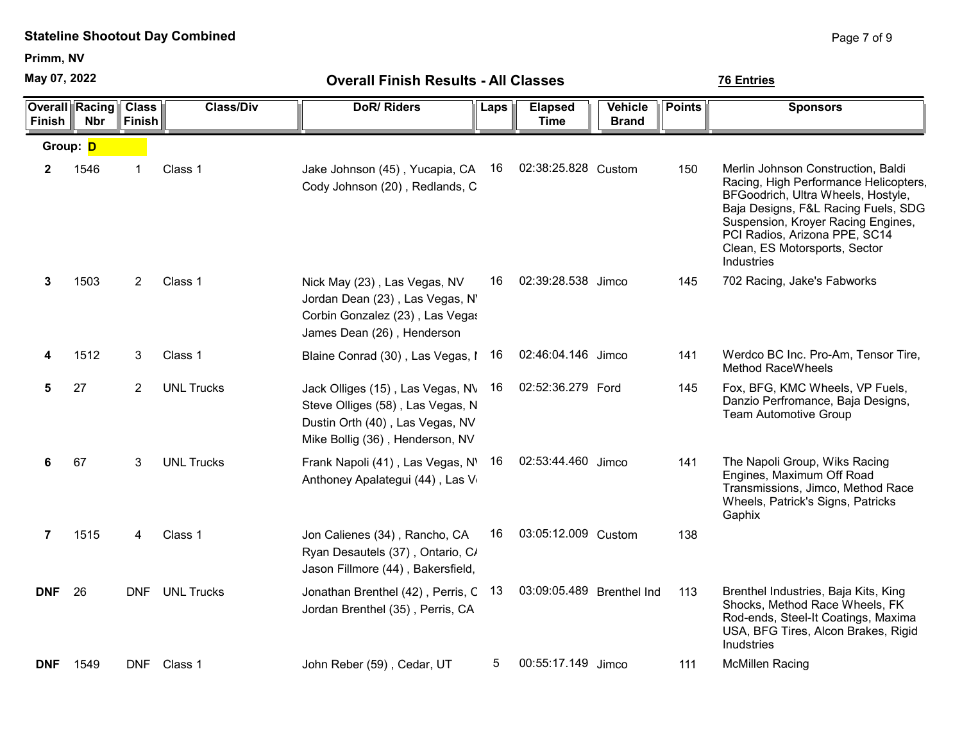Primm, NV

May 07, 2022

| May 07, 2022   |                                     |                               |                   | <b>Overall Finish Results - All Classes</b>                                                                                                | <b>76 Entries</b> |                               |                                |               |                                                                                                                                                                                                                                                                                |
|----------------|-------------------------------------|-------------------------------|-------------------|--------------------------------------------------------------------------------------------------------------------------------------------|-------------------|-------------------------------|--------------------------------|---------------|--------------------------------------------------------------------------------------------------------------------------------------------------------------------------------------------------------------------------------------------------------------------------------|
| <b>Finish</b>  | <b>Overall Racing</b><br><b>Nbr</b> | <b>Class</b><br><b>Finish</b> | <b>Class/Div</b>  | <b>DoR/Riders</b>                                                                                                                          | Laps              | <b>Elapsed</b><br><b>Time</b> | <b>Vehicle</b><br><b>Brand</b> | <b>Points</b> | <b>Sponsors</b>                                                                                                                                                                                                                                                                |
| Group: D       |                                     |                               |                   |                                                                                                                                            |                   |                               |                                |               |                                                                                                                                                                                                                                                                                |
| $\mathbf{2}$   | 1546                                | $\mathbf 1$                   | Class 1           | Jake Johnson (45), Yucapia, CA<br>Cody Johnson (20), Redlands, C                                                                           | 16                | 02:38:25.828 Custom           |                                | 150           | Merlin Johnson Construction, Baldi<br>Racing, High Performance Helicopters,<br>BFGoodrich, Ultra Wheels, Hostyle,<br>Baja Designs, F&L Racing Fuels, SDG<br>Suspension, Kroyer Racing Engines,<br>PCI Radios, Arizona PPE, SC14<br>Clean, ES Motorsports, Sector<br>Industries |
| 3              | 1503                                | 2                             | Class 1           | Nick May (23), Las Vegas, NV<br>Jordan Dean (23), Las Vegas, N'<br>Corbin Gonzalez (23), Las Vegas<br>James Dean (26), Henderson           | 16                | 02:39:28.538 Jimco            |                                | 145           | 702 Racing, Jake's Fabworks                                                                                                                                                                                                                                                    |
|                | 1512                                | 3                             | Class 1           | Blaine Conrad (30), Las Vegas, I                                                                                                           | 16                | 02:46:04.146 Jimco            |                                | 141           | Werdco BC Inc. Pro-Am, Tensor Tire,<br><b>Method RaceWheels</b>                                                                                                                                                                                                                |
| 5              | 27                                  | 2                             | <b>UNL Trucks</b> | Jack Olliges (15), Las Vegas, NV<br>Steve Olliges (58), Las Vegas, N<br>Dustin Orth (40), Las Vegas, NV<br>Mike Bollig (36), Henderson, NV | 16                | 02:52:36.279 Ford             |                                | 145           | Fox, BFG, KMC Wheels, VP Fuels,<br>Danzio Perfromance, Baja Designs,<br><b>Team Automotive Group</b>                                                                                                                                                                           |
| 6              | 67                                  | 3                             | <b>UNL Trucks</b> | Frank Napoli (41), Las Vegas, N'<br>Anthoney Apalategui (44), Las V                                                                        | 16                | 02:53:44.460 Jimco            |                                | 141           | The Napoli Group, Wiks Racing<br>Engines, Maximum Off Road<br>Transmissions, Jimco, Method Race<br>Wheels, Patrick's Signs, Patricks<br>Gaphix                                                                                                                                 |
| $\overline{7}$ | 1515                                | 4                             | Class 1           | Jon Calienes (34), Rancho, CA<br>Ryan Desautels (37), Ontario, C/<br>Jason Fillmore (44), Bakersfield,                                     | 16                | 03:05:12.009 Custom           |                                | 138           |                                                                                                                                                                                                                                                                                |
| <b>DNF</b>     | 26                                  |                               | DNF UNL Trucks    | Jonathan Brenthel (42), Perris, C 13<br>Jordan Brenthel (35), Perris, CA                                                                   |                   | 03:09:05.489 Brenthel Ind     |                                | 113           | Brenthel Industries, Baja Kits, King<br>Shocks, Method Race Wheels, FK<br>Rod-ends, Steel-It Coatings, Maxima<br>USA, BFG Tires, Alcon Brakes, Rigid<br><b>Inudstries</b>                                                                                                      |
| <b>DNF</b>     | 1549                                |                               | DNF Class 1       | John Reber (59), Cedar, UT                                                                                                                 | 5                 | 00:55:17.149 Jimco            |                                | 111           | <b>McMillen Racing</b>                                                                                                                                                                                                                                                         |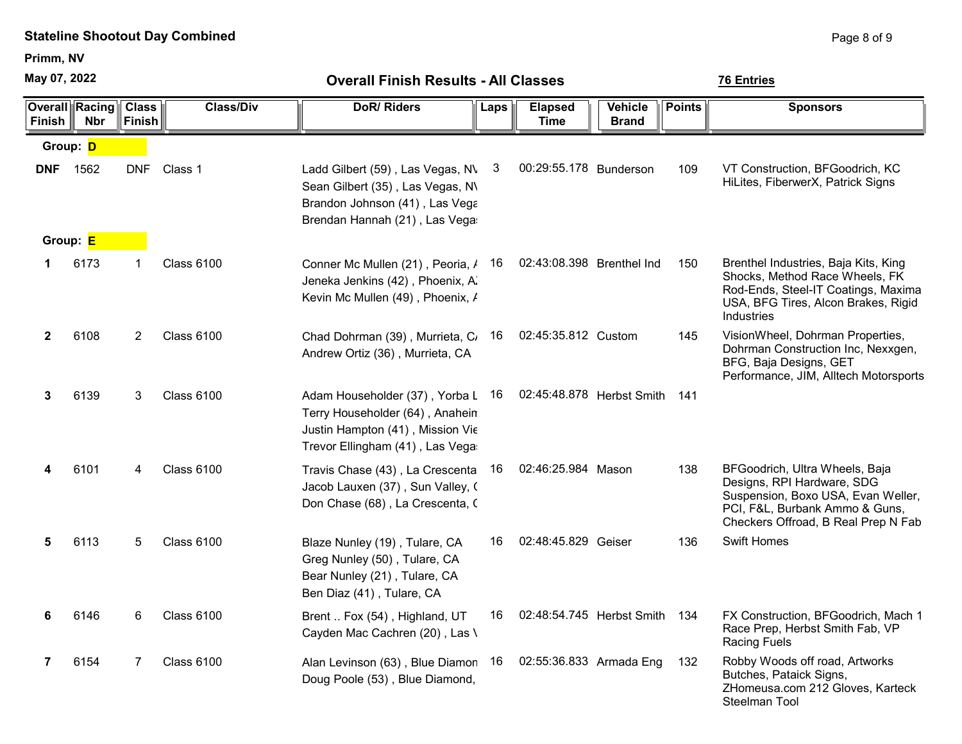Primm, NV

May 07, 2022

Steelman Tool

| May 07, 2022  |                                | <b>Overall Finish Results - All Classes</b> |                   |                                                                                                                                             |      |                               |                                | <b>76 Entries</b> |                                                                                                                                                                             |  |  |
|---------------|--------------------------------|---------------------------------------------|-------------------|---------------------------------------------------------------------------------------------------------------------------------------------|------|-------------------------------|--------------------------------|-------------------|-----------------------------------------------------------------------------------------------------------------------------------------------------------------------------|--|--|
| <b>Finish</b> | Overall  Racing <br><b>Nbr</b> | <b>Class</b><br><b>Finish</b>               | <b>Class/Div</b>  | <b>DoR/Riders</b>                                                                                                                           | Laps | <b>Elapsed</b><br><b>Time</b> | <b>Vehicle</b><br><b>Brand</b> | <b>Points</b>     | <b>Sponsors</b>                                                                                                                                                             |  |  |
| Group: D      |                                |                                             |                   |                                                                                                                                             |      |                               |                                |                   |                                                                                                                                                                             |  |  |
| <b>DNF</b>    | 1562                           | <b>DNF</b>                                  | Class 1           | Ladd Gilbert (59), Las Vegas, N\<br>Sean Gilbert (35), Las Vegas, N\<br>Brandon Johnson (41), Las Vega<br>Brendan Hannah (21), Las Vega     | 3    | 00:29:55.178 Bunderson        |                                | 109               | VT Construction, BFGoodrich, KC<br>HiLites, FiberwerX, Patrick Signs                                                                                                        |  |  |
|               | Group: E                       |                                             |                   |                                                                                                                                             |      |                               |                                |                   |                                                                                                                                                                             |  |  |
| 1             | 6173                           | 1                                           | <b>Class 6100</b> | Conner Mc Mullen (21), Peoria, /<br>Jeneka Jenkins (42), Phoenix, A.<br>Kevin Mc Mullen (49), Phoenix, /                                    | 16   | 02:43:08.398 Brenthel Ind     |                                | 150               | Brenthel Industries, Baja Kits, King<br>Shocks, Method Race Wheels, FK<br>Rod-Ends, Steel-IT Coatings, Maxima<br>USA, BFG Tires, Alcon Brakes, Rigid<br>Industries          |  |  |
| $\mathbf{2}$  | 6108                           | 2                                           | <b>Class 6100</b> | Chad Dohrman (39), Murrieta, C<br>Andrew Ortiz (36), Murrieta, CA                                                                           | 16   | 02:45:35.812 Custom           |                                | 145               | VisionWheel, Dohrman Properties,<br>Dohrman Construction Inc, Nexxgen,<br>BFG, Baja Designs, GET<br>Performance, JIM, Alltech Motorsports                                   |  |  |
| 3             | 6139                           | 3                                           | <b>Class 6100</b> | Adam Householder (37), Yorba L 16<br>Terry Householder (64), Anahein<br>Justin Hampton (41), Mission Vie<br>Trevor Ellingham (41), Las Vega |      | 02:45:48.878 Herbst Smith     |                                | 141               |                                                                                                                                                                             |  |  |
| 4             | 6101                           | 4                                           | <b>Class 6100</b> | Travis Chase (43), La Crescenta 16<br>Jacob Lauxen (37), Sun Valley, (<br>Don Chase (68), La Crescenta, (                                   |      | 02:46:25.984 Mason            |                                | 138               | BFGoodrich, Ultra Wheels, Baja<br>Designs, RPI Hardware, SDG<br>Suspension, Boxo USA, Evan Weller,<br>PCI, F&L, Burbank Ammo & Guns,<br>Checkers Offroad, B Real Prep N Fab |  |  |
| 5             | 6113                           | 5                                           | <b>Class 6100</b> | Blaze Nunley (19), Tulare, CA<br>Greg Nunley (50), Tulare, CA<br>Bear Nunley (21), Tulare, CA<br>Ben Diaz (41), Tulare, CA                  | 16   | 02:48:45.829 Geiser           |                                | 136               | <b>Swift Homes</b>                                                                                                                                                          |  |  |
| 6             | 6146                           | 6                                           | Class 6100        | Brent  Fox (54), Highland, UT<br>Cayden Mac Cachren (20), Las \                                                                             | 16   | 02:48:54.745 Herbst Smith     |                                | 134               | FX Construction, BFGoodrich, Mach 1<br>Race Prep, Herbst Smith Fab, VP<br><b>Racing Fuels</b>                                                                               |  |  |
| 7             | 6154                           | 7                                           | <b>Class 6100</b> | Alan Levinson (63), Blue Diamon<br>Doug Poole (53), Blue Diamond,                                                                           | 16   | 02:55:36.833 Armada Eng       |                                | 132               | Robby Woods off road, Artworks<br>Butches, Pataick Signs,<br>ZHomeusa.com 212 Gloves, Karteck                                                                               |  |  |